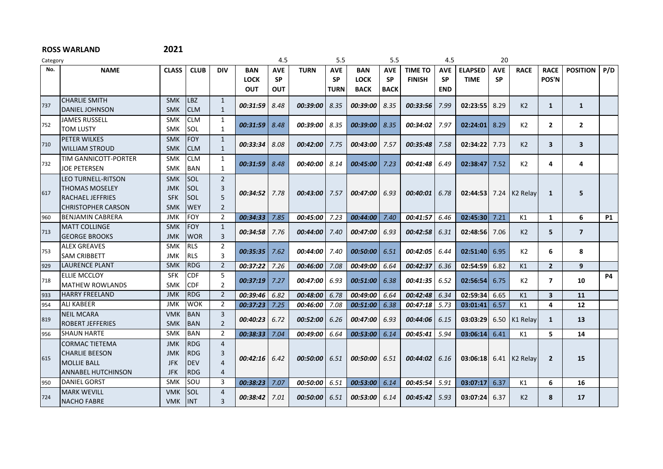| Category |                           |              |             |                |                 | 4.5        |             | 5.5         |             | 5.5         |                 | 4.5        |                | 20         |                      |                         |                         |           |
|----------|---------------------------|--------------|-------------|----------------|-----------------|------------|-------------|-------------|-------------|-------------|-----------------|------------|----------------|------------|----------------------|-------------------------|-------------------------|-----------|
| No.      | <b>NAME</b>               | <b>CLASS</b> | <b>CLUB</b> | <b>DIV</b>     | BAN             | <b>AVE</b> | <b>TURN</b> | <b>AVE</b>  | <b>BAN</b>  | <b>AVE</b>  | <b>TIME TO</b>  | <b>AVE</b> | <b>ELAPSED</b> | <b>AVE</b> | <b>RACE</b>          | <b>RACE</b>             | <b>POSITION</b>         | P/D       |
|          |                           |              |             |                | <b>LOCK</b>     | <b>SP</b>  |             | <b>SP</b>   | <b>LOCK</b> | <b>SP</b>   | <b>FINISH</b>   | <b>SP</b>  | <b>TIME</b>    | <b>SP</b>  |                      | POS'N                   |                         |           |
|          |                           |              |             |                | <b>OUT</b>      | OUT        |             | <b>TURN</b> | <b>BACK</b> | <b>BACK</b> |                 | <b>END</b> |                |            |                      |                         |                         |           |
| 737      | <b>CHARLIE SMITH</b>      | <b>SMK</b>   | <b>LBZ</b>  | 1              | 00:31:59        | 8.48       | 00:39:00    | 8.35        | 00:39:00    | 8.35        | 00:33:56        | 7.99       | 02:23:55       | 8.29       | K <sub>2</sub>       | $\mathbf{1}$            | $\mathbf{1}$            |           |
|          | <b>DANIEL JOHNSON</b>     | <b>SMK</b>   | <b>CLM</b>  | $\mathbf{1}$   |                 |            |             |             |             |             |                 |            |                |            |                      |                         |                         |           |
| 752      | <b>JAMES RUSSELL</b>      | <b>SMK</b>   | <b>CLM</b>  | $\mathbf{1}$   | $00:31:59$ 8.48 |            | 00:39:00    | 8.35        | 00:39:00    | 8.35        | 00:34:02        | 7.97       | 02:24:01       | 8.29       | K <sub>2</sub>       | $\mathbf{2}$            | $\overline{2}$          |           |
|          | <b>TOM LUSTY</b>          | <b>SMK</b>   | SOL         | $\mathbf{1}$   |                 |            |             |             |             |             |                 |            |                |            |                      |                         |                         |           |
| 710      | <b>PETER WILKES</b>       | <b>SMK</b>   | <b>FOY</b>  | $\mathbf{1}$   | 00:33:34        | 8.08       |             |             |             |             |                 | 7.58       |                |            | K <sub>2</sub>       | $\overline{\mathbf{3}}$ | $\overline{\mathbf{3}}$ |           |
|          | <b>WILLIAM STROUD</b>     | <b>SMK</b>   | <b>CLM</b>  | $\mathbf{1}$   |                 |            | 00:42:00    | 7.75        | 00:43:00    | 7.57        | 00:35:48        |            | 02:34:22       | 7.73       |                      |                         |                         |           |
|          | TIM GANNICOTT-PORTER      | <b>SMK</b>   | <b>CLM</b>  | 1              |                 |            |             |             |             |             |                 |            |                |            |                      |                         |                         |           |
| 732      | <b>JOE PETERSEN</b>       | <b>SMK</b>   | <b>BAN</b>  | $\mathbf{1}$   | 00:31:59        | 8.48       | 00:40:00    | 8.14        | 00:45:00    | 7.23        | 00:41:48        | 6.49       | 02:38:47       | 7.52       | K2                   | 4                       | 4                       |           |
|          | LEO TURNELL-RITSON        | <b>SMK</b>   | <b>SOL</b>  | $\overline{2}$ |                 |            |             |             |             |             |                 |            |                |            |                      |                         |                         |           |
|          | <b>THOMAS MOSELEY</b>     | <b>JMK</b>   | <b>ISOL</b> | 3              |                 |            |             |             |             |             |                 |            |                |            |                      |                         |                         |           |
| 617      | <b>RACHAEL JEFFRIES</b>   | <b>SFK</b>   | <b>SOL</b>  | 5              | $00:34:52$ 7.78 |            | 00:43:00    | 7.57        | 00:47:00    | 6.93        | 00:40:01        | 6.78       | 02:44:53       | 7.24       | K <sub>2</sub> Relay | 1                       | 5                       |           |
|          | <b>CHRISTOPHER CARSON</b> | <b>SMK</b>   | <b>WEY</b>  | $\overline{2}$ |                 |            |             |             |             |             |                 |            |                |            |                      |                         |                         |           |
| 960      | <b>BENJAMIN CABRERA</b>   | JMK          | <b>FOY</b>  | 2              | 00:34:33        | 7.85       | 00:45:00    | 7.23        | 00:44:00    | 7.40        | 00:41:57        | 6.46       | 02:45:30       | 7.21       | K1                   | 1                       | 6                       | <b>P1</b> |
|          | <b>MATT COLLINGE</b>      | <b>SMK</b>   | FOY         | $\mathbf{1}$   |                 |            |             |             |             |             |                 |            |                |            |                      |                         |                         |           |
| 713      | <b>GEORGE BROOKS</b>      | <b>JMK</b>   | <b>WOR</b>  | 3              | 00:34:58        | 7.76       | 00:44:00    | 7.40        | 00:47:00    | 6.93        | 00:42:58        | 6.31       | 02:48:56       | 7.06       | K <sub>2</sub>       | 5.                      | $\overline{7}$          |           |
|          | <b>ALEX GREAVES</b>       | SMK          | <b>RLS</b>  | $\overline{2}$ |                 |            |             |             |             |             |                 |            |                |            |                      |                         |                         |           |
| 753      | <b>SAM CRIBBETT</b>       | <b>JMK</b>   | <b>RLS</b>  | 3              | 00:35:35        | 7.62       | 00:44:00    | 7.40        | 00:50:00    | 6.51        | 00:42:05        | 6.44       | 02:51:40       | 6.95       | K <sub>2</sub>       | 6                       | 8                       |           |
| 929      | <b>LAURENCE PLANT</b>     | <b>SMK</b>   | RDG         | $\overline{2}$ | 00:37:22        | 7.26       | 00:46:00    | 7.08        | 00:49:00    | 6.64        | 00:42:37        | 6.36       | 02:54:59       | 6.82       | K1                   | 2 <sup>1</sup>          | 9                       |           |
|          | <b>ELLIE MCCLOY</b>       | <b>SFK</b>   | <b>CDF</b>  | 5              |                 |            |             |             |             |             |                 |            |                |            |                      |                         |                         | <b>P4</b> |
| 718      | <b>MATHEW ROWLANDS</b>    | <b>SMK</b>   | <b>CDF</b>  | $\overline{2}$ | 00:37:19        | 7.27       | 00:47:00    | 6.93        | 00:51:00    | 6.38        | 00:41:35        | 6.52       | 02:56:54       | 6.75       | K <sub>2</sub>       | $\overline{ }$          | 10                      |           |
| 933      | <b>HARRY FREELAND</b>     | <b>JMK</b>   | <b>RDG</b>  | $\overline{2}$ | 00:39:46        | 6.82       | 00:48:00    | 6.78        | 00:49:00    | 6.64        | 00:42:48        | 6.34       | 02:59:34       | 6.65       | K1                   | $\overline{\mathbf{3}}$ | 11                      |           |
| 954      | <b>ALI KABEER</b>         | <b>JMK</b>   | <b>WOK</b>  | $\overline{2}$ | 00:37:23        | 7.25       | 00:46:00    | 7.08        | 00:51:00    | 6.38        | 00:47:18        | 5.73       | 03:01:41       | 6.57       | K1                   | 4                       | 12                      |           |
|          | <b>NEIL MCARA</b>         | <b>VMK</b>   | <b>BAN</b>  | 3              |                 |            |             |             |             |             |                 |            |                |            |                      |                         |                         |           |
| 819      | <b>ROBERT JEFFERIES</b>   | <b>SMK</b>   | <b>BAN</b>  | $\overline{2}$ | 00:40:23        | 6.72       | 00:52:00    | 6.26        | 00:47:00    | 6.93        | 00:44:06        | 6.15       | 03:03:29       | 6.50       | K1 Relay             | $\mathbf{1}$            | 13                      |           |
| 956      | <b>SHAUN HARTE</b>        | <b>SMK</b>   | <b>BAN</b>  | 2              | 00:38:33        | 7.04       | 00:49:00    | 6.64        | 00:53:00    | 6.14        | 00:45:41        | 5.94       | 03:06:14       | 6.41       | K1                   | 5                       | 14                      |           |
|          | <b>CORMAC TIETEMA</b>     | <b>JMK</b>   | <b>RDG</b>  | $\overline{4}$ |                 |            |             |             |             |             |                 |            |                |            |                      |                         |                         |           |
|          | <b>CHARLIE BEESON</b>     | <b>JMK</b>   | <b>RDG</b>  | 3              |                 |            |             |             |             |             |                 |            |                |            |                      |                         |                         |           |
| 615      | <b>MOLLIE BALL</b>        | <b>JFK</b>   | <b>DEV</b>  | $\overline{a}$ | 00:42:16        | 6.42       | 00:50:00    | 6.51        | 00:50:00    | 6.51        | 00:44:02        | 6.16       | 03:06:18       | 6.41       | $K2$ Relay           | $\overline{2}$          | 15                      |           |
|          | <b>ANNABEL HUTCHINSON</b> | <b>JFK</b>   | <b>RDG</b>  | $\overline{4}$ |                 |            |             |             |             |             |                 |            |                |            |                      |                         |                         |           |
| 950      | <b>DANIEL GORST</b>       | <b>SMK</b>   | SOU         | 3              | 00:38:23        | 7.07       | 00:50:00    | 6.51        | 00:53:00    | 6.14        | 00:45:54        | 5.91       | 03:07:17       | 6.37       | K1                   | 6                       | 16                      |           |
|          | <b>MARK WEVILL</b>        | <b>VMK</b>   | <b>SOL</b>  | $\overline{a}$ |                 |            |             |             |             |             |                 |            |                |            |                      |                         |                         |           |
| 724      | <b>NACHO FABRE</b>        | <b>VMK</b>   | <b>INT</b>  | 3              | 00:38:42        | 7.01       | 00:50:00    | 6.51        | 00:53:00    | 6.14        | $00:45:42$ 5.93 |            | 03:07:24       | 6.37       | K <sub>2</sub>       | 8                       | 17                      |           |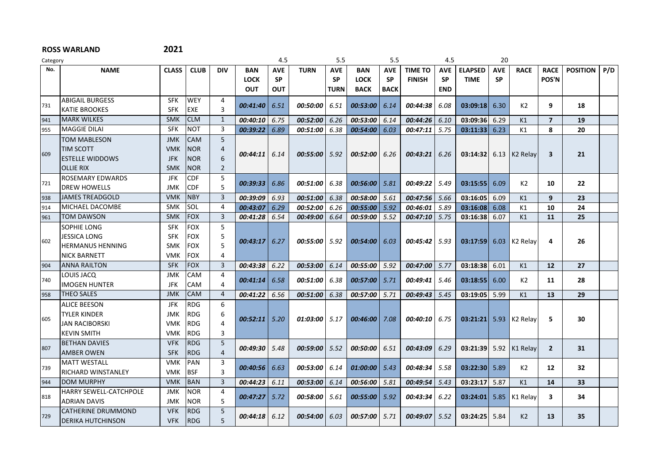| Category |                          |              |             |                | 4.5             |            | 5.5             |             | 5.5         |             | 4.5            |            | 20             |            |                      |                         |                 |     |
|----------|--------------------------|--------------|-------------|----------------|-----------------|------------|-----------------|-------------|-------------|-------------|----------------|------------|----------------|------------|----------------------|-------------------------|-----------------|-----|
| No.      | <b>NAME</b>              | <b>CLASS</b> | <b>CLUB</b> | <b>DIV</b>     | <b>BAN</b>      | <b>AVE</b> | <b>TURN</b>     | <b>AVE</b>  | <b>BAN</b>  | <b>AVE</b>  | <b>TIME TO</b> | <b>AVE</b> | <b>ELAPSED</b> | <b>AVE</b> | <b>RACE</b>          | <b>RACE</b>             | <b>POSITION</b> | P/D |
|          |                          |              |             |                | <b>LOCK</b>     | <b>SP</b>  |                 | <b>SP</b>   | <b>LOCK</b> | <b>SP</b>   | <b>FINISH</b>  | <b>SP</b>  | <b>TIME</b>    | <b>SP</b>  |                      | POS'N                   |                 |     |
|          |                          |              |             |                | <b>OUT</b>      | <b>OUT</b> |                 | <b>TURN</b> | <b>BACK</b> | <b>BACK</b> |                | <b>END</b> |                |            |                      |                         |                 |     |
| 731      | ABIGAIL BURGESS          | <b>SFK</b>   | <b>WEY</b>  | 4              | 00:41:40        | 6.51       | 00:50:00        | 6.51        | 00:53:00    | 6.14        | 00:44:38       | 6.08       | 03:09:18       | 6.30       | K2                   | 9                       | 18              |     |
|          | <b>KATIE BROOKES</b>     | <b>SFK</b>   | <b>EXE</b>  | 3              |                 |            |                 |             |             |             |                |            |                |            |                      |                         |                 |     |
| 941      | <b>MARK WILKES</b>       | <b>SMK</b>   | <b>CLM</b>  | 1              | 00:40:10        | 6.75       | 00:52:00        | 6.26        | 00:53:00    | 6.14        | 00:44:26       | 6.10       | 03:09:36       | 6.29       | K1                   | $\overline{7}$          | 19              |     |
| 955      | <b>MAGGIE DILAI</b>      | <b>SFK</b>   | <b>NOT</b>  | 3              | 00:39:22        | 6.89       | 00:51:00        | 6.38        | 00:54:00    | 6.03        | 00:47:11       | 5.75       | 03:11:33       | 6.23       | K1                   | 8                       | 20              |     |
|          | <b>TOM MABLESON</b>      | <b>JMK</b>   | <b>CAM</b>  | 5              |                 |            |                 |             |             |             |                |            |                |            |                      |                         |                 |     |
| 609      | <b>TIM SCOTT</b>         | <b>VMK</b>   | <b>NOR</b>  | $\overline{4}$ | 00:44:11        | 6.14       | 00:55:00        | 5.92        | 00:52:00    | 6.26        | 00:43:21       | 6.26       | 03:14:32       |            | $6.13$ K2 Relay      | $\overline{\mathbf{3}}$ | 21              |     |
|          | <b>ESTELLE WIDDOWS</b>   | <b>JFK</b>   | <b>NOR</b>  | 6              |                 |            |                 |             |             |             |                |            |                |            |                      |                         |                 |     |
|          | <b>OLLIE RIX</b>         | <b>SMK</b>   | <b>NOR</b>  | $\overline{2}$ |                 |            |                 |             |             |             |                |            |                |            |                      |                         |                 |     |
| 721      | <b>ROSEMARY EDWARDS</b>  | <b>JFK</b>   | <b>CDF</b>  | 5              | 00:39:33        | 6.86       | 00:51:00        | 6.38        | 00:56:00    | 5.81        | 00:49:22       | 5.49       | 03:15:55       | 6.09       | K2                   | 10                      | 22              |     |
|          | <b>DREW HOWELLS</b>      | <b>JMK</b>   | <b>CDF</b>  | 5              |                 |            |                 |             |             |             |                |            |                |            |                      |                         |                 |     |
| 938      | <b>JAMES TREADGOLD</b>   | <b>VMK</b>   | <b>NBY</b>  | $\overline{3}$ | 00:39:09        | 6.93       | 00:51:00        | 6.38        | 00:58:00    | 5.61        | 00:47:56       | 5.66       | 03:16:05       | 6.09       | K1                   | 9                       | 23              |     |
| 914      | MICHAEL DACOMBE          | <b>SMK</b>   | <b>SOL</b>  | 4              | 00:43:07        | 6.29       | 00:52:00        | 6.26        | 00:55:00    | 5.92        | 00:46:01       | 5.89       | 03:16:08       | 6.08       | K1                   | 10                      | 24              |     |
| 961      | <b>TOM DAWSON</b>        | <b>SMK</b>   | <b>FOX</b>  | 3              | 00:41:28        | 6.54       | $00:49:00$ 6.64 |             | 00:59:00    | 5.52        | 00:47:10       | 5.75       | 03:16:38       | 6.07       | K1                   | 11                      | 25              |     |
|          | SOPHIE LONG              | <b>SFK</b>   | <b>FOX</b>  | 5              |                 |            |                 |             |             |             |                |            |                |            |                      |                         |                 |     |
| 602      | JESSICA LONG             | <b>SFK</b>   | <b>FOX</b>  | 5              | 00:43:17        |            | 00:55:00        | 5.92        |             |             |                | 5.93       | 03:17:59       |            |                      | 4                       |                 |     |
|          | <b>HERMANUS HENNING</b>  | <b>SMK</b>   | <b>FOX</b>  | 5              |                 | 6.27       |                 |             | 00:54:00    | 6.03        | 00:45:42       |            |                | 6.03       | K <sub>2</sub> Relay |                         | 26              |     |
|          | <b>NICK BARNETT</b>      | <b>VMK</b>   | <b>FOX</b>  | 4              |                 |            |                 |             |             |             |                |            |                |            |                      |                         |                 |     |
| 904      | <b>ANNA RAILTON</b>      | <b>SFK</b>   | <b>FOX</b>  | 3              | 00:43:38        | 6.22       | 00:53:00        | 6.14        | 00:55:00    | 5.92        | 00:47:00       | 5.77       | 03:18:38       | 6.01       | K1                   | 12                      | 27              |     |
|          | LOUIS JACQ               | <b>JMK</b>   | <b>CAM</b>  | 4              |                 |            |                 |             |             |             |                |            |                |            |                      |                         |                 |     |
| 740      | <b>IMOGEN HUNTER</b>     | JFK          | <b>CAM</b>  | 4              | 00:41:14        | 6.58       | 00:51:00        | 6.38        | 00:57:00    | 5.71        | 00:49:41       | 5.46       | 03:18:55       | 6.00       | K2                   | 11                      | 28              |     |
| 958      | <b>THEO SALES</b>        | <b>JMK</b>   | <b>CAM</b>  | 4              | 00:41:22        | 6.56       | 00:51:00        | 6.38        | 00:57:00    | 5.71        | 00:49:43       | 5.45       | 03:19:05       | 5.99       | K1                   | 13                      | 29              |     |
|          | <b>ALICE BEESON</b>      | <b>JFK</b>   | <b>RDG</b>  | 6              |                 |            |                 |             |             |             |                |            |                |            |                      |                         |                 |     |
| 605      | TYLER KINDER             | <b>JMK</b>   | <b>RDG</b>  | 6              | $00:52:11$ 5.20 |            |                 |             |             |             |                |            |                |            |                      | 5.                      |                 |     |
|          | <b>JAN RACIBORSKI</b>    | <b>VMK</b>   | <b>RDG</b>  | 4              |                 |            | 01:03:00        | 5.17        | 00:46:00    | 7.08        | 00:40:10       | 6.75       | 03:21:21       | 5.93       | K <sub>2</sub> Relav |                         | 30              |     |
|          | <b>KEVIN SMITH</b>       | <b>VMK</b>   | <b>RDG</b>  | 3              |                 |            |                 |             |             |             |                |            |                |            |                      |                         |                 |     |
|          | <b>BETHAN DAVIES</b>     | <b>VFK</b>   | <b>RDG</b>  | 5              |                 |            |                 |             |             |             |                |            |                |            |                      |                         |                 |     |
| 807      | <b>AMBER OWEN</b>        | <b>SFK</b>   | RDG         | $\overline{4}$ | 00:49:30        | 5.48       | 00:59:00        | 5.52        | 00:50:00    | 6.51        | 00:43:09       | 6.29       | 03:21:39       |            | 5.92   $K1$ Relay    | $\overline{2}$          | 31              |     |
|          | <b>MATT WESTALL</b>      | <b>VMK</b>   | PAN         | 3              |                 |            |                 |             |             |             |                |            |                |            |                      |                         |                 |     |
| 739      | RICHARD WINSTANLEY       | <b>VMK</b>   | <b>BSF</b>  | 3              | $00:40:56$ 6.63 |            | 00:53:00        | 6.14        | 01:00:00    | 5.43        | 00:48:34       | 5.58       | 03:22:30       | 5.89       | K2                   | 12                      | 32              |     |
| 944      | <b>DOM MURPHY</b>        | <b>VMK</b>   | <b>BAN</b>  | 3              | 00:44:23        | 6.11       | 00:53:00        | 6.14        | 00:56:00    | 5.81        | 00:49:54       | 5.43       | 03:23:17       | 5.87       | K1                   | 14                      | 33              |     |
|          | HARRY SEWELL-CATCHPOLE   | <b>JMK</b>   | <b>NOR</b>  | 4              |                 |            |                 |             |             |             |                |            |                |            |                      |                         |                 |     |
| 818      | <b>ADRIAN DAVIS</b>      | JMK          | <b>NOR</b>  | 5              | 00:47:27        | 5.72       | 00:58:00        | 5.61        | 00:55:00    | 5.92        | 00:43:34       | 6.22       | 03:24:01       | 5.85       | K1 Relay             | 3                       | 34              |     |
|          | CATHERINE DRUMMOND       | <b>VFK</b>   | <b>RDG</b>  | 5              |                 |            |                 |             |             |             |                |            |                |            |                      |                         |                 |     |
| 729      | <b>DERIKA HUTCHINSON</b> | <b>VFK</b>   | RDG         | 5              | 00:44:18        | 6.12       | 00:54:00        | 6.03        | 00:57:00    | 5.71        | 00:49:07       | 5.52       | 03:24:25       | 5.84       | K <sub>2</sub>       | 13                      | 35              |     |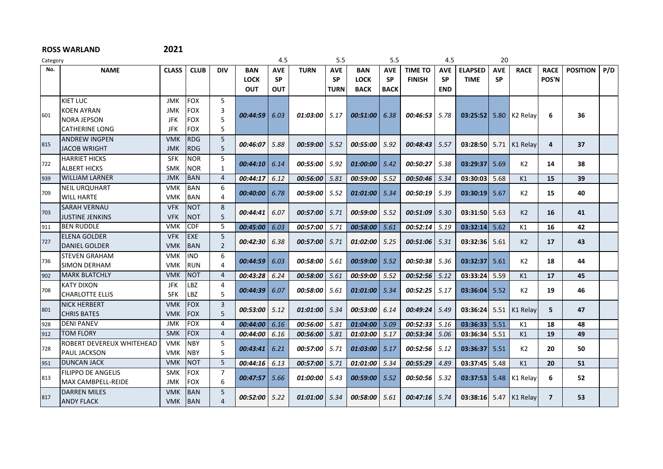| Category |                           |              |             |                |                 | 4.5        |             | 5.5         |             | 5.5         |                 | 4.5        |                | 20         |                      |                |                 |     |
|----------|---------------------------|--------------|-------------|----------------|-----------------|------------|-------------|-------------|-------------|-------------|-----------------|------------|----------------|------------|----------------------|----------------|-----------------|-----|
| No.      | <b>NAME</b>               | <b>CLASS</b> | <b>CLUB</b> | <b>DIV</b>     | <b>BAN</b>      | <b>AVE</b> | <b>TURN</b> | <b>AVE</b>  | <b>BAN</b>  | <b>AVE</b>  | <b>TIME TO</b>  | <b>AVE</b> | <b>ELAPSED</b> | <b>AVE</b> | <b>RACE</b>          | <b>RACE</b>    | <b>POSITION</b> | P/D |
|          |                           |              |             |                | <b>LOCK</b>     | <b>SP</b>  |             | <b>SP</b>   | <b>LOCK</b> | <b>SP</b>   | <b>FINISH</b>   | <b>SP</b>  | <b>TIME</b>    | <b>SP</b>  |                      | POS'N          |                 |     |
|          |                           |              |             |                | <b>OUT</b>      | OUT        |             | <b>TURN</b> | <b>BACK</b> | <b>BACK</b> |                 | <b>END</b> |                |            |                      |                |                 |     |
|          | KIET LUC                  | <b>JMK</b>   | <b>FOX</b>  | 5              |                 |            |             |             |             |             |                 |            |                |            |                      |                |                 |     |
| 601      | <b>KOEN AYRAN</b>         | <b>JMK</b>   | <b>FOX</b>  | 3              | 00:44:59        | 6.03       | 01:03:00    | 5.17        | 00:51:00    | 6.38        | 00:46:53        | 5.78       | 03:25:52       | 5.80       | K <sub>2</sub> Relay | 6              | 36              |     |
|          | <b>NORA JEPSON</b>        | <b>JFK</b>   | <b>FOX</b>  | 5              |                 |            |             |             |             |             |                 |            |                |            |                      |                |                 |     |
|          | <b>CATHERINE LONG</b>     | <b>JFK</b>   | <b>FOX</b>  | 5              |                 |            |             |             |             |             |                 |            |                |            |                      |                |                 |     |
|          | <b>ANDREW INGPEN</b>      | <b>VMK</b>   | <b>RDG</b>  | 5              |                 |            |             |             |             |             |                 |            |                |            |                      |                |                 |     |
| 815      | <b>JACOB WRIGHT</b>       | <b>JMK</b>   | RDG         | 5              | 00:46:07        | 5.88       | 00:59:00    | 5.52        | 00:55:00    | 5.92        | 00:48:43        | 5.57       | 03:28:50       | 5.71       | K1 Relay             | 4              | 37              |     |
|          | <b>HARRIET HICKS</b>      | <b>SFK</b>   | <b>NOR</b>  | 5              |                 |            |             |             |             |             |                 |            |                |            |                      |                |                 |     |
| 722      | <b>ALBERT HICKS</b>       | <b>SMK</b>   | <b>NOR</b>  | 1              | 00:44:10        | 6.14       | 00:55:00    | 5.92        | 01:00:00    | 5.42        | 00:50:27        | 5.38       | 03:29:37       | 5.69       | K <sub>2</sub>       | 14             | 38              |     |
| 939      | <b>WILLIAM LARNER</b>     | <b>JMK</b>   | <b>BAN</b>  | $\overline{4}$ | 00:44:17        | 6.12       | 00:56:00    | 5.81        | 00:59:00    | 5.52        | 00:50:46        | 5.34       | 03:30:03       | 5.68       | K1                   | 15             | 39              |     |
|          | <b>NEIL URQUHART</b>      | <b>VMK</b>   | <b>BAN</b>  | 6              |                 |            |             |             |             |             |                 |            |                |            |                      |                |                 |     |
| 709      | <b>WILL HARTE</b>         | <b>VMK</b>   | <b>BAN</b>  | 4              | 00:40:00        | 6.78       | 00:59:00    | 5.52        | 01:01:00    | 5.34        | 00:50:19        | 5.39       | 03:30:19       | 5.67       | K2                   | 15             | 40              |     |
|          | <b>SARAH VERNAU</b>       | <b>VFK</b>   | <b>NOT</b>  | 8              |                 |            |             |             |             |             |                 |            |                |            |                      |                |                 |     |
| 703      | <b>JUSTINE JENKINS</b>    | <b>VFK</b>   | <b>NOT</b>  | 5              | 00:44:41        | 6.07       | 00:57:00    | 5.71        | 00:59:00    | 5.52        | 00:51:09        | 5.30       | 03:31:50       | 5.63       | K2                   | 16             | 41              |     |
| 911      | <b>BEN RUDDLE</b>         | <b>VMK</b>   | <b>CDF</b>  | 5              | 00:45:00        | 6.03       | 00:57:00    | 5.71        | 00:58:00    | 5.61        | 00:52:14        | 5.19       | 03:32:14       | 5.62       | K1                   | 16             | 42              |     |
|          | <b>ELENA GOLDER</b>       | <b>VFK</b>   | <b>EXE</b>  | 5              |                 |            |             |             |             |             |                 |            |                |            |                      |                |                 |     |
| 727      | <b>DANIEL GOLDER</b>      | <b>VMK</b>   | <b>BAN</b>  | $\overline{2}$ | 00:42:30        | 6.38       | 00:57:00    | 5.71        | 01:02:00    | 5.25        | 00:51:06        | 5.31       | 03:32:36       | 5.61       | K2                   | 17             | 43              |     |
|          | <b>STEVEN GRAHAM</b>      | <b>VMK</b>   | <b>IND</b>  | 6              |                 |            |             |             |             |             |                 |            |                |            |                      |                |                 |     |
| 736      | <b>SIMON DERHAM</b>       | <b>VMK</b>   | <b>RUN</b>  | 4              | 00:44:59        | 6.03       | 00:58:00    | 5.61        | 00:59:00    | 5.52        | 00:50:38        | 5.36       | 03:32:37       | 5.61       | K <sub>2</sub>       | 18             | 44              |     |
| 902      | <b>MARK BLATCHLY</b>      | <b>VMK</b>   | <b>NOT</b>  | $\overline{4}$ | 00:43:28        | 6.24       | 00:58:00    | 5.61        | 00:59:00    | 5.52        | 00:52:56        | 5.12       | 03:33:24       | 5.59       | K1                   | 17             | 45              |     |
|          | <b>KATY DIXON</b>         | JFK          | <b>LBZ</b>  | $\overline{4}$ |                 |            |             |             |             |             |                 |            |                |            |                      |                |                 |     |
| 708      | <b>CHARLOTTE ELLIS</b>    | <b>SFK</b>   | LBZ         | 5              | 00:44:39        | 6.07       | 00:58:00    | 5.61        | 01:01:00    | 5.34        | 00:52:25        | 5.17       | 03:36:04       | 5.52       | K <sub>2</sub>       | 19             | 46              |     |
|          | <b>NICK HERBERT</b>       | <b>VMK</b>   | <b>FOX</b>  | $\overline{3}$ |                 |            |             |             |             |             |                 |            |                |            |                      |                |                 |     |
| 801      | <b>CHRIS BATES</b>        | <b>VMK</b>   | <b>FOX</b>  | 5              | 00:53:00        | 5.12       | 01:01:00    | 5.34        | 00:53:00    | 6.14        | 00:49:24        | 5.49       | 03:36:24       | 5.51       | K1 Relay             | 5              | 47              |     |
| 928      | <b>DENI PANEV</b>         | JMK          | <b>FOX</b>  | 4              | 00:44:00        | 6.16       | 00:56:00    | 5.81        | 01:04:00    | 5.09        | 00:52:33        | 5.16       | 03:36:33       | 5.51       | K1                   | 18             | 48              |     |
| 912      | <b>TOM FLORY</b>          | <b>SMK</b>   | <b>FOX</b>  | 4              | 00:44:00        | 6.16       | 00:56:00    | 5.81        | 01:03:00    | 5.17        | 00:53:34        | 5.06       | 03:36:34       | 5.51       | K1                   | 19             | 49              |     |
|          | ROBERT DEVEREUX WHITEHEAD | <b>VMK</b>   | <b>NBY</b>  | 5              |                 |            |             |             |             |             |                 |            |                |            |                      |                |                 |     |
| 728      | <b>PAUL JACKSON</b>       | <b>VMK</b>   | <b>NBY</b>  | 5              | 00:43:41        | 6.21       | 00:57:00    | 5.71        | 01:03:00    | 5.17        | 00:52:56        | 5.12       | 03:36:37       | 5.51       | K2                   | 20             | 50              |     |
| 951      | <b>DUNCAN JACK</b>        | <b>VMK</b>   | <b>NOT</b>  | 5              | 00:44:16        | 6.13       | 00:57:00    | 5.71        | 01:01:00    | 5.34        | 00:55:29        | 4.89       | 03:37:45       | 5.48       | K1                   | 20             | 51              |     |
|          | <b>FILIPPO DE ANGELIS</b> | <b>SMK</b>   | <b>FOX</b>  | $\overline{7}$ |                 |            |             |             |             |             |                 |            |                |            |                      |                |                 |     |
| 813      | MAX CAMBPELL-REIDE        | <b>JMK</b>   | <b>FOX</b>  | 6              | 00:47:57        | 5.66       | 01:00:00    | 5.43        | 00:59:00    | 5.52        | 00:50:56        | 5.32       | 03:37:53       | 5.48       | K1 Relay             | 6              | 52              |     |
|          | <b>DARREN MILES</b>       | <b>VMK</b>   | <b>BAN</b>  | 5              |                 |            |             |             |             |             |                 |            |                |            |                      |                |                 |     |
| 817      | <b>ANDY FLACK</b>         | <b>VMK</b>   | BAN         | 4              | $00:52:00$ 5.22 |            | 01:01:00    | 5.34        | 00:58:00    | 5.61        | $00:47:16$ 5.74 |            | 03:38:16       | 5.47       | K1 Relay             | $\overline{7}$ | 53              |     |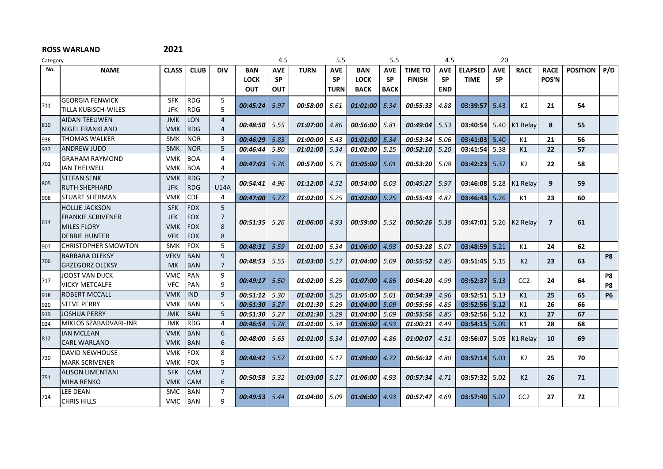| Category |                            |              |             |                |                 | 4.5        |                        | 5.5         |                        | 5.5         |                | 4.5        |                | 20         |                   |              |                 |                |
|----------|----------------------------|--------------|-------------|----------------|-----------------|------------|------------------------|-------------|------------------------|-------------|----------------|------------|----------------|------------|-------------------|--------------|-----------------|----------------|
| No.      | <b>NAME</b>                | <b>CLASS</b> | <b>CLUB</b> | <b>DIV</b>     | <b>BAN</b>      | <b>AVE</b> | <b>TURN</b>            | <b>AVE</b>  | <b>BAN</b>             | <b>AVE</b>  | <b>TIME TO</b> | <b>AVE</b> | <b>ELAPSED</b> | <b>AVE</b> | <b>RACE</b>       | <b>RACE</b>  | <b>POSITION</b> | P/D            |
|          |                            |              |             |                | <b>LOCK</b>     | <b>SP</b>  |                        | <b>SP</b>   | <b>LOCK</b>            | <b>SP</b>   | <b>FINISH</b>  | <b>SP</b>  | <b>TIME</b>    | <b>SP</b>  |                   | POS'N        |                 |                |
|          |                            |              |             |                | <b>OUT</b>      | OUT        |                        | <b>TURN</b> | <b>BACK</b>            | <b>BACK</b> |                | <b>END</b> |                |            |                   |              |                 |                |
| 711      | <b>GEORGIA FENWICK</b>     | <b>SFK</b>   | <b>RDG</b>  | 5              | 00:45:24        | 5.97       | 00:58:00               | 5.61        | 01:01:00               | 5.34        | 00:55:33       | 4.88       | 03:39:57       | 5.43       | K2                | 21           | 54              |                |
|          | TILLA KUBISCH-WILES        | <b>JFK</b>   | <b>RDG</b>  | 5              |                 |            |                        |             |                        |             |                |            |                |            |                   |              |                 |                |
| 810      | <b>AIDAN TEEUWEN</b>       | <b>JMK</b>   | <b>LON</b>  | 4              |                 |            |                        |             |                        |             |                | 5.53       |                |            |                   | 8            |                 |                |
|          | <b>NIGEL FRANKLAND</b>     | <b>VMK</b>   | <b>RDG</b>  | 4              | $00:48:50$ 5.55 |            | 01:07:00               | 4.86        | 00:56:00               | 5.81        | 00:49:04       |            | 03:40:54       | 5.40       | K1 Relay          |              | 55              |                |
| 936      | <b>THOMAS WALKER</b>       | SMK          | <b>NOR</b>  | 3              | $00:46:29$ 5.83 |            | 01:00:00               | 5.43        | 01:01:00               | 5.34        | 00:53:34       | 5.06       | 03:41:03       | 5.40       | K1                | 21           | 56              |                |
| 937      | <b>ANDREW JUDD</b>         | <b>SMK</b>   | <b>NOR</b>  | 5              | 00:46:44        | 5.80       | 01:01:00               | 5.34        | 01:02:00               | 5.25        | 00:52:10       | 5.20       | 03:41:54       | 5.38       | K1                | 22           | 57              |                |
| 701      | <b>GRAHAM RAYMOND</b>      | <b>VMK</b>   | <b>BOA</b>  | $\overline{a}$ | 00:47:03        | 5.76       | 00:57:00               |             | 01:05:00               |             | 00:53:20       | 5.08       | 03:42:23       |            | K2                | 22           | 58              |                |
|          | <b>IAN THELWELL</b>        | <b>VMK</b>   | <b>BOA</b>  | 4              |                 |            |                        | 5.71        |                        | 5.01        |                |            |                | 5.37       |                   |              |                 |                |
|          | <b>STEFAN SENK</b>         | <b>VMK</b>   | <b>RDG</b>  | $\overline{2}$ |                 |            |                        |             |                        |             |                |            |                |            |                   | 9            |                 |                |
| 805      | <b>RUTH SHEPHARD</b>       | <b>JFK</b>   | <b>RDG</b>  | <b>U14A</b>    | 00:54:41        | 4.96       | 01:12:00               | 4.52        | 00:54:00               | 6.03        | 00:45:27       | 5.97       | 03:46:08       | 5.28       | K1 Relay          |              | 59              |                |
| 908      | STUART SHERMAN             | <b>VMK</b>   | <b>CDF</b>  | $\overline{a}$ | 00:47:00        | 5.77       | 01:02:00               | 5.25        | 01:02:00               | 5.25        | 00:55:43       | 4.87       | 03:46:43       | 5.26       | К1                | 23           | 60              |                |
| 614      | <b>HOLLIE JACKSON</b>      | <b>SFK</b>   | <b>FOX</b>  | 5              |                 |            |                        |             |                        |             |                |            |                |            |                   |              |                 |                |
|          | <b>FRANKIE SCRIVENER</b>   | <b>JFK</b>   | <b>FOX</b>  | 7              |                 |            |                        |             |                        |             |                |            |                |            | 5.26   $K2$ Relay |              |                 |                |
|          | <b>MILES FLORY</b>         | <b>VMK</b>   | <b>FOX</b>  | 8              | $00:51:35$ 5.26 |            | <i><b>01:06:00</b></i> | 4.93        | 00:59:00               | 5.52        | 00:50:26       | 5.38       | 03:47:01       |            |                   | $\mathbf{7}$ | 61              |                |
|          | <b>DEBBIE HUNTER</b>       | <b>VFK</b>   | <b>FOX</b>  | 8              |                 |            |                        |             |                        |             |                |            |                |            |                   |              |                 |                |
| 907      | <b>CHRISTOPHER SMOWTON</b> | <b>SMK</b>   | <b>FOX</b>  | 5              | 00:48:31        | 5.59       | 01:01:00               | 5.34        | 01:06:00               | 4.93        | 00:53:28       | 5.07       | 03:48:59       | 5.21       | K1                | 24           | 62              |                |
|          | <b>BARBARA OLEKSY</b>      | <b>VFKV</b>  | <b>BAN</b>  | $\mathsf{q}$   | 00:48:53        | 5.55       | 01:03:00               | 5.17        | 01:04:00               | 5.09        | 00:55:52       | 4.85       | 03:51:45       | 5.15       | K2                | 23           | 63              | P <sub>8</sub> |
| 706      | <b>GRZEGORZ OLEKSY</b>     | <b>MK</b>    | <b>BAN</b>  | $\overline{7}$ |                 |            |                        |             |                        |             |                |            |                |            |                   |              |                 |                |
|          | <b>JOOST VAN DIJCK</b>     | <b>VMC</b>   | <b>PAN</b>  | 9              |                 |            |                        |             |                        |             |                |            |                |            | CC <sub>2</sub>   |              |                 | P8             |
| 717      | <b>VICKY METCALFE</b>      | <b>VFC</b>   | PAN         | 9              | 00:49:17        | 5.50       | 01:02:00               | 5.25        | 01:07:00               | 4.86        | 00:54:20       | 4.99       | 03:52:37       | 5.13       |                   | 24           | 64              | P8             |
| 918      | <b>ROBERT MCCALL</b>       | <b>VMK</b>   | <b>IND</b>  | 9              | $00:51:12$ 5.30 |            | 01:02:00               | 5.25        | $01:05:00$ 5.01        |             | 00:54:39       | 4.96       | 03:52:51       | 5.13       | K1                | 25           | 65              | <b>P6</b>      |
| 920      | <b>STEVE PERRY</b>         | <b>VMK</b>   | <b>BAN</b>  | 5              | 00:51:30 5.27   |            | $01:01:30$ 5.29        |             | 01:04:00               | 5.09        | 00:55:56       | 4.85       | 03:52:56       | 5.12       | K1                | 26           | 66              |                |
| 919      | <b>JOSHUA PERRY</b>        | <b>JMK</b>   | BAN         | 5              | 00:51:30        | 5.27       | 01:01:30               | 5.29        | 01:04:00               | 5.09        | 00:55:56       | 4.85       | 03:52:56       | 5.12       | K1                | 27           | 67              |                |
| 924      | MIKLOS SZABADVARI-JNR      | <b>JMK</b>   | <b>RDG</b>  | $\overline{a}$ | 00:46:54        | 5.78       | 01:01:00               | 5.34        | 01:06:00               | 4.93        | 01:00:21       | 4.49       | 03:54:15       | 5.09       | K1                | 28           | 68              |                |
| 812      | <b>IAN MCLEAN</b>          | <b>VMK</b>   | <b>BAN</b>  | 6              | 00:48:00        | 5.65       | 01:01:00               | 5.34        | 01:07:00               | 4.86        | 01:00:07       | 4.51       | 03:56:07       | 5.05       | K1 Relav          | 10           | 69              |                |
|          | <b>CARL WARLAND</b>        | <b>VMK</b>   | BAN         | 6              |                 |            |                        |             |                        |             |                |            |                |            |                   |              |                 |                |
|          | <b>DAVID NEWHOUSE</b>      | <b>VMK</b>   | <b>IFOX</b> | 8              |                 |            |                        |             |                        |             |                |            |                |            |                   |              |                 |                |
| 730      | <b>MARK SCRIVENER</b>      | <b>VMK</b>   | <b>IFOX</b> | 5              | 00:48:42        | 5.57       | 01:03:00               | 5.17        | 01:09:00               | 4.72        | 00:56:32       | 4.80       | 03:57:14       | 5.03       | K2                | 25           | 70              |                |
|          | <b>ALISON LIMENTANI</b>    | <b>SFK</b>   | <b>CAM</b>  | $\overline{7}$ |                 |            |                        |             |                        |             |                |            |                |            |                   |              |                 |                |
| 751      | <b>MIHA RENKO</b>          | <b>VMK</b>   | <b>CAM</b>  | 6              | 00:50:58        | 5.32       | 01:03:00               | 5.17        | <i><b>01:06:00</b></i> | 4.93        | 00:57:34       | 4.71       | 03:57:32       | 5.02       | K <sub>2</sub>    | 26           | 71              |                |
|          | <b>LEE DEAN</b>            | <b>SMC</b>   | <b>BAN</b>  | 7              |                 |            |                        |             |                        |             |                |            |                |            |                   |              |                 |                |
| 714      | <b>CHRIS HILLS</b>         | <b>VMC</b>   | <b>BAN</b>  | 9              | 00:49:53        | 5.44       | $01:04:00$ 5.09        |             | 01:06:00               | 4.93        | 00:57:47       | 4.69       | 03:57:40       | 5.02       | CC <sub>2</sub>   | 27           | 72              |                |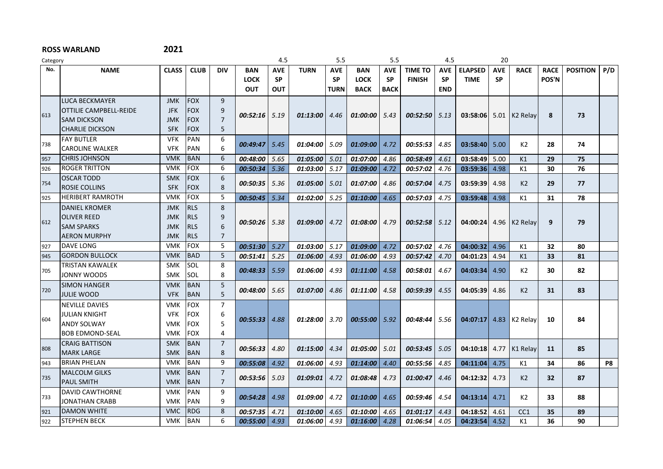| Category |                               |              |             |                |                   | 4.5        |                        | 5.5         |                 | 5.5         |                | 4.5        |                | 20         |                      |                 |                 |     |
|----------|-------------------------------|--------------|-------------|----------------|-------------------|------------|------------------------|-------------|-----------------|-------------|----------------|------------|----------------|------------|----------------------|-----------------|-----------------|-----|
| No.      | <b>NAME</b>                   | <b>CLASS</b> | <b>CLUB</b> | <b>DIV</b>     | <b>BAN</b>        | <b>AVE</b> | <b>TURN</b>            | <b>AVE</b>  | <b>BAN</b>      | <b>AVE</b>  | <b>TIME TO</b> | <b>AVE</b> | <b>ELAPSED</b> | <b>AVE</b> | <b>RACE</b>          | <b>RACE</b>     | <b>POSITION</b> | P/D |
|          |                               |              |             |                | <b>LOCK</b>       | <b>SP</b>  |                        | <b>SP</b>   | <b>LOCK</b>     | <b>SP</b>   | <b>FINISH</b>  | <b>SP</b>  | <b>TIME</b>    | <b>SP</b>  |                      | <b>POS'N</b>    |                 |     |
|          |                               |              |             |                | <b>OUT</b>        | <b>OUT</b> |                        | <b>TURN</b> | <b>BACK</b>     | <b>BACK</b> |                | <b>END</b> |                |            |                      |                 |                 |     |
|          | LUCA BECKMAYER                | <b>JMK</b>   | <b>FOX</b>  | 9              |                   |            |                        |             |                 |             |                |            |                |            |                      |                 |                 |     |
|          | <b>OTTILIE CAMPBELL-REIDE</b> | <b>JFK</b>   | <b>FOX</b>  | 9              |                   |            |                        |             |                 |             |                |            |                |            |                      |                 |                 |     |
| 613      | <b>SAM DICKSON</b>            | <b>JMK</b>   | <b>FOX</b>  | $\overline{7}$ | $00:52:16$ 5.19   |            | 01:13:00               | 4.46        | $01:00:00$ 5.43 |             | 00:52:50       | 5.13       | 03:58:06       | 5.01       | K <sub>2</sub> Relav | 8               | 73              |     |
|          | <b>CHARLIE DICKSON</b>        | <b>SFK</b>   | <b>FOX</b>  | 5              |                   |            |                        |             |                 |             |                |            |                |            |                      |                 |                 |     |
|          | <b>IFAY BUTLER</b>            | <b>VFK</b>   | PAN         | 6              |                   |            |                        |             |                 |             |                |            |                |            |                      |                 |                 |     |
| 738      | <b>CAROLINE WALKER</b>        | <b>VFK</b>   | PAN         | 6              | 00:49:47          | 5.45       | <i><b>01:04:00</b></i> | 5.09        | 01:09:00        | 4.72        | 00:55:53       | 4.85       | 03:58:40       | 5.00       | K2                   | 28              | 74              |     |
| 957      | <b>CHRIS JOHNSON</b>          | <b>VMK</b>   | <b>BAN</b>  | 6              | 00:48:00          | 5.65       | 01:05:00               | 5.01        | 01:07:00        | 4.86        | 00:58:49       | 4.61       | 03:58:49       | 5.00       | K1                   | 29              | 75              |     |
| 926      | <b>ROGER TRITTON</b>          | <b>VMK</b>   | <b>FOX</b>  | 6              | 00:50:34          | 5.36       | 01:03:00               | 5.17        | 01:09:00        | 4.72        | 00:57:02       | 4.76       | 03:59:36       | 4.98       | K1                   | 30              | 76              |     |
|          | <b>OSCAR TODD</b>             | <b>SMK</b>   | <b>FOX</b>  | 6              |                   |            |                        |             |                 |             |                |            |                |            |                      |                 |                 |     |
| 754      | <b>ROSIE COLLINS</b>          | <b>SFK</b>   | <b>FOX</b>  | 8              | 00:50:35          | 5.36       | 01:05:00               | 5.01        | 01:07:00        | 4.86        | 00:57:04       | 4.75       | 03:59:39       | 4.98       | K <sub>2</sub>       | 29              | 77              |     |
| 925      | <b>HERIBERT RAMROTH</b>       | <b>VMK</b>   | <b>FOX</b>  | 5              | 00:50:45          | 5.34       | 01:02:00               | 5.25        | 01:10:00        | 4.65        | 00:57:03       | 4.75       | 03:59:48       | 4.98       | K1                   | 31              | 78              |     |
|          | <b>DANIEL KROMER</b>          | <b>JMK</b>   | <b>RLS</b>  | 8              |                   |            |                        |             |                 |             |                |            |                |            |                      |                 |                 |     |
|          | <b>OLIVER REED</b>            | <b>JMK</b>   | <b>RLS</b>  | 9              |                   |            |                        |             |                 |             |                |            |                |            |                      |                 |                 |     |
| 612      | <b>SAM SPARKS</b>             | <b>JMK</b>   | <b>RLS</b>  | 6              | 00:50:26          | 5.38       | $01:09:00$ 4.72        |             | 01:08:00        | 4.79        | 00:52:58       | 5.12       | 04:00:24       |            | 4.96 $K2$ Relay      | 9               | 79              |     |
|          | <b>AERON MURPHY</b>           | <b>JMK</b>   | <b>RLS</b>  | $\overline{7}$ |                   |            |                        |             |                 |             |                |            |                |            |                      |                 |                 |     |
| 927      | <b>DAVE LONG</b>              | <b>VMK</b>   | <b>FOX</b>  | 5              | 00:51:30          | 5.27       | 01:03:00               | 5.17        | 01:09:00        | 4.72        | 00:57:02       | 4.76       | 04:00:32       | 4.96       | K1                   | 32              | 80              |     |
| 945      | <b>GORDON BULLOCK</b>         | <b>VMK</b>   | <b>BAD</b>  | 5              | 00:51:41          | 5.25       | 01:06:00               | 4.93        | 01:06:00        | 4.93        | 00:57:42       | 4.70       | 04:01:23       | 4.94       | K1                   | 33              | 81              |     |
|          | <b>TRISTAN KAWALEK</b>        | <b>SMK</b>   | SOL         | 8              |                   |            |                        |             |                 |             |                |            |                |            |                      |                 |                 |     |
| 705      | <b>JONNY WOODS</b>            | <b>SMK</b>   | SOL         | 8              | 00:48:33          | 5.59       | 01:06:00               | 4.93        | 01:11:00        | 4.58        | 00:58:01       | 4.67       | 04:03:34       | 4.90       | K2                   | 30              | 82              |     |
|          | <b>SIMON HANGER</b>           | <b>VMK</b>   | <b>BAN</b>  | 5              |                   |            |                        |             |                 |             |                |            |                |            |                      |                 |                 |     |
| 720      | <b>JULIE WOOD</b>             | <b>VFK</b>   | <b>BAN</b>  | 5              | 00:48:00          | 5.65       | 01:07:00               | 4.86        | 01:11:00        | 4.58        | 00:59:39       | 4.55       | 04:05:39       | 4.86       | K <sub>2</sub>       | 31              | 83              |     |
|          | <b>NEVILLE DAVIES</b>         | <b>VMK</b>   | <b>FOX</b>  | 7              |                   |            |                        |             |                 |             |                |            |                |            |                      |                 |                 |     |
|          | <b>JULIAN KNIGHT</b>          | <b>VFK</b>   | <b>FOX</b>  | 6              |                   |            |                        |             |                 |             |                |            |                |            |                      |                 |                 |     |
| 604      | <b>ANDY SOLWAY</b>            | <b>VMK</b>   | <b>FOX</b>  | 5              | 00:55:33          | 4.88       | 01:28:00               | 3.70        | 0.55:00         | 5.92        | 00:48:44       | 5.56       | 04:07:17       | 4.83       | K <sub>2</sub> Relay | 10              | 84              |     |
|          | <b>BOB EDMOND-SEAL</b>        | <b>VMK</b>   | <b>FOX</b>  | 4              |                   |            |                        |             |                 |             |                |            |                |            |                      |                 |                 |     |
|          | <b>CRAIG BATTISON</b>         | <b>SMK</b>   | <b>BAN</b>  | $\overline{7}$ | 00:56:33          | 4.80       |                        | 4.34        |                 | 5.01        |                |            | 04:10:18       |            |                      |                 | 85              |     |
| 808      | <b>MARK LARGE</b>             | <b>SMK</b>   | <b>BAN</b>  | 8              |                   |            | 01:15:00               |             | 01:05:00        |             | 00:53:45       | 5.05       |                | 4.77       | K1 Relay             | 11              |                 |     |
| 943      | <b>BRIAN PHELAN</b>           | <b>VMK</b>   | <b>BAN</b>  | 9              | 00:55:08          | 4.92       | 01:06:00               | 4.93        | 01:14:00        | 4.40        | 00:55:56       | 4.85       | 04:11:04       | 4.75       | K1                   | 34              | 86              | P8  |
| 735      | MALCOLM GILKS                 | <b>VMK</b>   | <b>BAN</b>  | $\overline{7}$ |                   |            |                        |             |                 |             |                |            |                |            |                      | 32 <sub>2</sub> |                 |     |
|          | <b>PAUL SMITH</b>             | <b>VMK</b>   | <b>BAN</b>  | $\overline{7}$ | 00:53:56          | 5.03       | 01:09:01               | 4.72        | 01:08:48        | 4.73        | 01:00:47       | 4.46       | 04:12:32       | 4.73       | K <sub>2</sub>       |                 | 87              |     |
| 733      | DAVID CAWTHORNE               | <b>VMK</b>   | PAN         | 9              |                   |            |                        |             |                 |             | 00:59:46       |            |                |            | K2                   | 33              | 88              |     |
|          | <b>JONATHAN CRABB</b>         | <b>VMK</b>   | <b>PAN</b>  | q              | 00:54:28          | 4.98       | 01:09:00               | 4.72        | 01:10:00        | 4.65        |                | 4.54       | 04:13:14       | 4.71       |                      |                 |                 |     |
| 921      | <b>DAMON WHITE</b>            | <b>VMC</b>   | <b>RDG</b>  | 8              | 00:57:35          | 4.71       | 01:10:00               | 4.65        | 01:10:00        | 4.65        | 01:01:17       | 4.43       | 04:18:52       | 4.61       | CC1                  | 35              | 89              |     |
| 922      | <b>STEPHEN BECK</b>           | <b>VMK</b>   | <b>BAN</b>  | 6              | $00:55:00$   4.93 |            | 01:06:00               | 4.93        | $01:16:00$ 4.28 |             | 01:06:54       | 4.05       | 04:23:54       | 4.52       | K1                   | 36              | 90              |     |